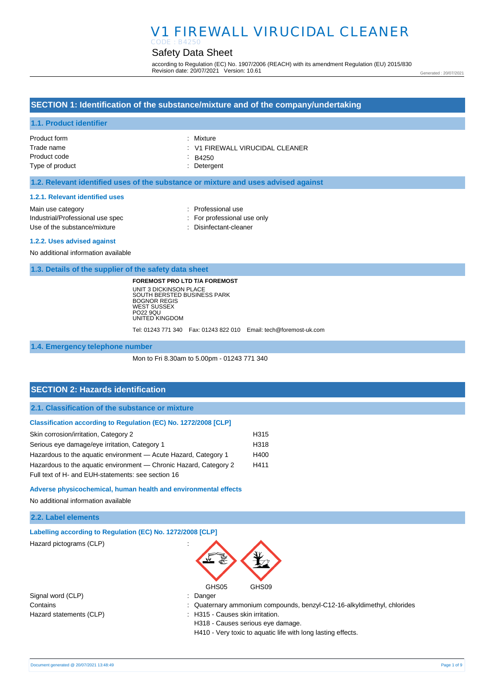#### Safety Data Sheet CODE : B4250

according to Regulation (EC) No. 1907/2006 (REACH) with its amendment Regulation (EU) 2015/830 Revision date: 20/07/2021 Version: 10.61

Generated : 20/07/2021

## **SECTION 1: Identification of the substance/mixture and of the company/undertaking**

### **1.1. Product identifier**

| Product form    | : Mixture                       |
|-----------------|---------------------------------|
| Trade name      | : V1 FIREWALL VIRUCIDAL CLEANER |
| Product code    | $\therefore$ B4250              |
| Type of product | : Detergent                     |

### **1.2. Relevant identified uses of the substance or mixture and uses advised against**

#### **1.2.1. Relevant identified uses**

| Main use category                |
|----------------------------------|
| Industrial/Professional use spec |
| Use of the substance/mixture     |

- : Professional use
- : For professional use only
- : Disinfectant-cleaner

#### **1.2.2. Uses advised against**

No additional information available

**1.3. Details of the supplier of the safety data sheet**

**FOREMOST PRO LTD T/A FOREMOST** UNIT 3 DICKINSON PLACE SOUTH BERSTED BUSINESS PARK BOGNOR REGIS WEST SUSSEX PO22 9QU UNITED KINGDOM

Tel: 01243 771 340 Fax: 01243 822 010 Email: tech@foremost-uk.com

### **1.4. Emergency telephone number**

Mon to Fri 8.30am to 5.00pm - 01243 771 340

## **SECTION 2: Hazards identification**

**2.1. Classification of the substance or mixture**

#### **Classification according to Regulation (EC) No. 1272/2008 [CLP]**

| Skin corrosion/irritation, Category 2                             | H <sub>315</sub> |
|-------------------------------------------------------------------|------------------|
| Serious eye damage/eye irritation, Category 1                     | H <sub>318</sub> |
| Hazardous to the aquatic environment - Acute Hazard, Category 1   | H400             |
| Hazardous to the aquatic environment — Chronic Hazard, Category 2 | H411             |
| Full text of H- and EUH-statements: see section 16                |                  |

#### **Adverse physicochemical, human health and environmental effects**

No additional information available

| 2.2. Label elements |  |
|---------------------|--|
|---------------------|--|

|  | Labelling according to Regulation (EC) No. 1272/2008 [CLP] |  |  |
|--|------------------------------------------------------------|--|--|
|  |                                                            |  |  |

Hazard pictograms (CLP) :



Signal word (CLP) : Danger

- 
- Contains : Quaternary ammonium compounds, benzyl-C12-16-alkyldimethyl, chlorides
- Hazard statements (CLP)  $\qquad \qquad$ : H315 Causes skin irritation.
	- H318 Causes serious eye damage.

H410 - Very toxic to aquatic life with long lasting effects.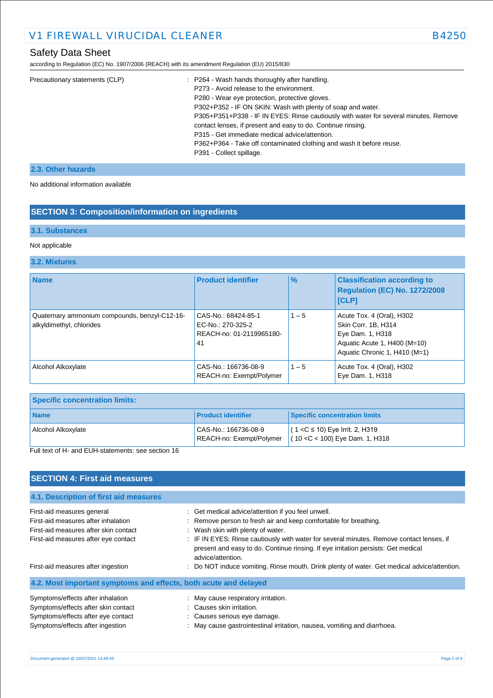according to Regulation (EC) No. 1907/2006 (REACH) with its amendment Regulation (EU) 2015/830

| Precautionary statements (CLP) | : P264 - Wash hands thoroughly after handling.                                       |
|--------------------------------|--------------------------------------------------------------------------------------|
|                                | P273 - Avoid release to the environment.                                             |
|                                | P280 - Wear eye protection, protective gloves.                                       |
|                                | P302+P352 - IF ON SKIN: Wash with plenty of soap and water.                          |
|                                | P305+P351+P338 - IF IN EYES: Rinse cautiously with water for several minutes. Remove |
|                                | contact lenses, if present and easy to do. Continue rinsing.                         |
|                                | P315 - Get immediate medical advice/attention.                                       |
|                                | P362+P364 - Take off contaminated clothing and wash it before reuse.                 |
|                                | P391 - Collect spillage.                                                             |
|                                |                                                                                      |

## **2.3. Other hazards**

No additional information available

## **SECTION 3: Composition/information on ingredients**

### **3.1. Substances**

## Not applicable

### **3.2. Mixtures**

| <b>Name</b>                                                               | <b>Product identifier</b>                                                  | $\frac{9}{6}$ | <b>Classification according to</b><br><b>Regulation (EC) No. 1272/2008</b><br><b>[CLP]</b>                                            |
|---------------------------------------------------------------------------|----------------------------------------------------------------------------|---------------|---------------------------------------------------------------------------------------------------------------------------------------|
| Quaternary ammonium compounds, benzyl-C12-16-<br>alkyldimethyl, chlorides | CAS-No.: 68424-85-1<br>EC-No.: 270-325-2<br>REACH-no: 01-2119965180-<br>41 | $1 - 5$       | Acute Tox. 4 (Oral), H302<br>Skin Corr. 1B, H314<br>Eye Dam. 1, H318<br>Aquatic Acute 1, H400 (M=10)<br>Aquatic Chronic 1, H410 (M=1) |
| Alcohol Alkoxylate                                                        | CAS-No.: 166736-08-9<br>REACH-no: Exempt/Polymer                           | $1 - 5$       | Acute Tox. 4 (Oral), H302<br>Eye Dam. 1, H318                                                                                         |

| <b>Specific concentration limits:</b> |                                                  |                                                                          |
|---------------------------------------|--------------------------------------------------|--------------------------------------------------------------------------|
| <b>Name</b>                           | <b>Product identifier</b>                        | <b>Specific concentration limits</b>                                     |
| Alcohol Alkoxylate                    | CAS-No.: 166736-08-9<br>REACH-no: Exempt/Polymer | $(1 < C \le 10)$ Eye Irrit. 2, H319<br>$(10 < C < 100)$ Eye Dam. 1, H318 |

Full text of H- and EUH-statements: see section 16

| <b>SECTION 4: First aid measures</b>                                                                                                               |                                                                                                                                                                                                                                                                                                                                                                   |
|----------------------------------------------------------------------------------------------------------------------------------------------------|-------------------------------------------------------------------------------------------------------------------------------------------------------------------------------------------------------------------------------------------------------------------------------------------------------------------------------------------------------------------|
| 4.1. Description of first aid measures                                                                                                             |                                                                                                                                                                                                                                                                                                                                                                   |
| First-aid measures general<br>First-aid measures after inhalation<br>First-aid measures after skin contact<br>First-aid measures after eye contact | : Get medical advice/attention if you feel unwell.<br>: Remove person to fresh air and keep comfortable for breathing.<br>: Wash skin with plenty of water.<br>: IF IN EYES: Rinse cautiously with water for several minutes. Remove contact lenses, if<br>present and easy to do. Continue rinsing. If eye irritation persists: Get medical<br>advice/attention. |
| First-aid measures after ingestion<br>4.2. Most important symptoms and effects, both acute and delayed                                             | : Do NOT induce vomiting. Rinse mouth. Drink plenty of water. Get medical advice/attention.                                                                                                                                                                                                                                                                       |
| Symptoms/effects after inhalation<br>Symptoms/effects after skin contact<br>Symptoms/effects after eye contact<br>Symptoms/effects after ingestion | : May cause respiratory irritation.<br>: Causes skin irritation.<br>: Causes serious eye damage.<br>: May cause gastrointestinal irritation, nausea, vomiting and diarrhoea.                                                                                                                                                                                      |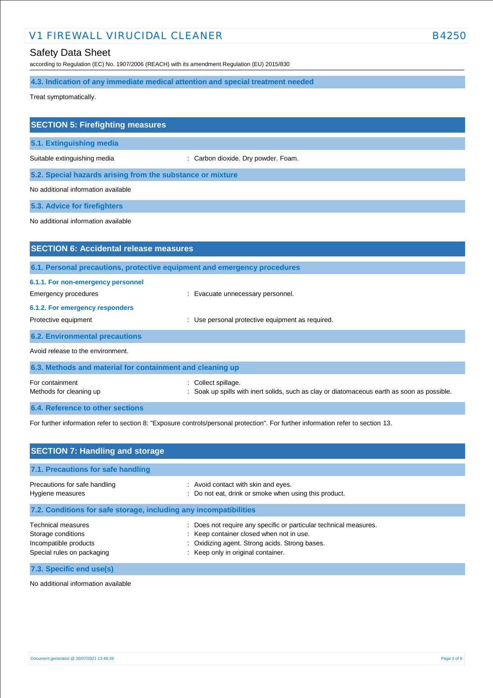## Safety Data Sheet

according to Regulation (EC) No. 1907/2006 (REACH) with its amendment Regulation (EU) 2015/830

**4.3. Indication of any immediate medical attention and special treatment needed**

Treat symptomatically.

| <b>SECTION 5: Firefighting measures</b>                                  |                                                |
|--------------------------------------------------------------------------|------------------------------------------------|
| 5.1. Extinguishing media                                                 |                                                |
| Suitable extinguishing media                                             | : Carbon dioxide. Dry powder. Foam.            |
| 5.2. Special hazards arising from the substance or mixture               |                                                |
| No additional information available                                      |                                                |
| 5.3. Advice for firefighters                                             |                                                |
| No additional information available                                      |                                                |
|                                                                          |                                                |
| <b>SECTION 6: Accidental release measures</b>                            |                                                |
| 6.1. Personal precautions, protective equipment and emergency procedures |                                                |
| 6.1.1. For non-emergency personnel                                       |                                                |
| Emergency procedures                                                     | Evacuate unnecessary personnel.                |
| 6.1.2. For emergency responders                                          |                                                |
| Protective equipment                                                     | Use personal protective equipment as required. |
| <b>6.2. Environmental precautions</b>                                    |                                                |

Avoid release to the environment.

| 6.3. Methods and material for containment and cleaning up |                                                                                                                    |  |
|-----------------------------------------------------------|--------------------------------------------------------------------------------------------------------------------|--|
| For containment<br>Methods for cleaning up                | : Collect spillage.<br>: Soak up spills with inert solids, such as clay or diatomaceous earth as soon as possible. |  |
| 6.4. Reference to other sections                          |                                                                                                                    |  |

For further information refer to section 8: "Exposure controls/personal protection". For further information refer to section 13.

| <b>SECTION 7: Handling and storage</b>                                                                 |                                                                                                                                                                                                   |  |
|--------------------------------------------------------------------------------------------------------|---------------------------------------------------------------------------------------------------------------------------------------------------------------------------------------------------|--|
| 7.1. Precautions for safe handling                                                                     |                                                                                                                                                                                                   |  |
| Precautions for safe handling<br>Hygiene measures                                                      | : Avoid contact with skin and eyes.<br>Do not eat, drink or smoke when using this product.                                                                                                        |  |
| 7.2. Conditions for safe storage, including any incompatibilities                                      |                                                                                                                                                                                                   |  |
| <b>Technical measures</b><br>Storage conditions<br>Incompatible products<br>Special rules on packaging | Does not require any specific or particular technical measures.<br>: Keep container closed when not in use.<br>Oxidizing agent. Strong acids. Strong bases.<br>: Keep only in original container. |  |
| 7.3. Specific end use(s)                                                                               |                                                                                                                                                                                                   |  |

No additional information available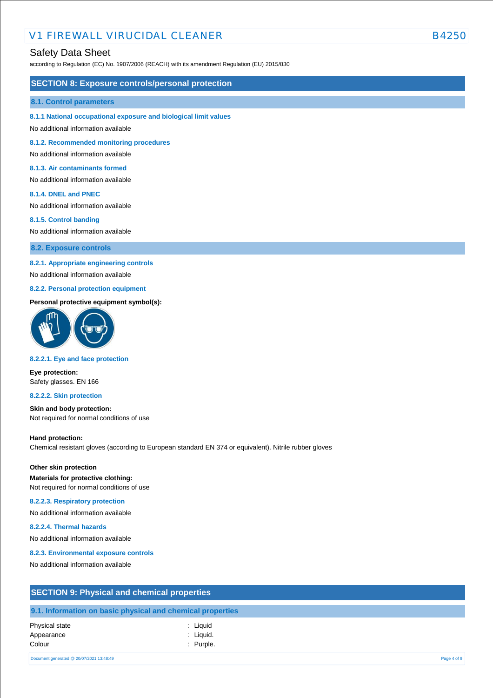## Safety Data Sheet

according to Regulation (EC) No. 1907/2006 (REACH) with its amendment Regulation (EU) 2015/830

### **SECTION 8: Exposure controls/personal protection**

#### **8.1. Control parameters**

**8.1.1 National occupational exposure and biological limit values**

No additional information available

**8.1.2. Recommended monitoring procedures**

No additional information available

### **8.1.3. Air contaminants formed**

No additional information available

#### **8.1.4. DNEL and PNEC**

No additional information available

#### **8.1.5. Control banding**

No additional information available

**8.2. Exposure controls**

### **8.2.1. Appropriate engineering controls**

No additional information available

### **8.2.2. Personal protection equipment**

#### **Personal protective equipment symbol(s):**



#### **8.2.2.1. Eye and face protection**

**Eye protection:** Safety glasses. EN 166

#### **8.2.2.2. Skin protection**

**Skin and body protection:** Not required for normal conditions of use

#### **Hand protection:**

Chemical resistant gloves (according to European standard EN 374 or equivalent). Nitrile rubber gloves

### **Other skin protection**

**Materials for protective clothing:** Not required for normal conditions of use

#### **8.2.2.3. Respiratory protection**

No additional information available

#### **8.2.2.4. Thermal hazards**

No additional information available

#### **8.2.3. Environmental exposure controls**

No additional information available

| <b>SECTION 9: Physical and chemical properties</b>         |  |
|------------------------------------------------------------|--|
| 9.1. Information on basic physical and chemical properties |  |

| <b>Physical state</b> | : Liquid    |
|-----------------------|-------------|
| Appearance            | : Liquid.   |
| Colour                | $:$ Purple. |

Document generated @ 20/07/2021 13:48:49 Page 4 of 9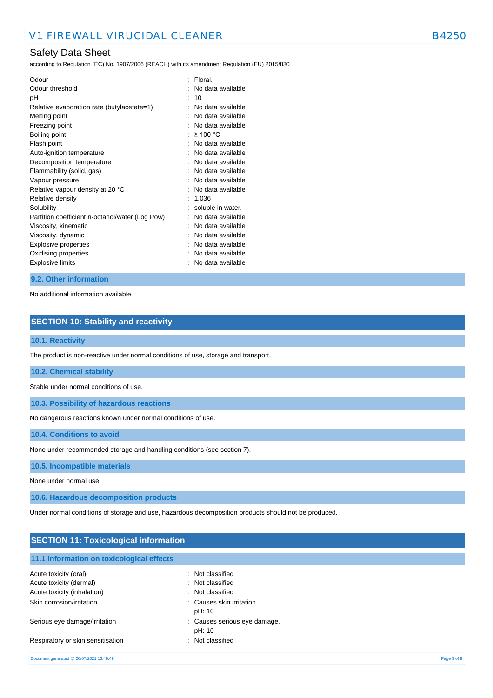## Safety Data Sheet

according to Regulation (EC) No. 1907/2006 (REACH) with its amendment Regulation (EU) 2015/830

| Odour threshold<br>No data available<br>10<br>рH<br>Relative evaporation rate (butylacetate=1)<br>No data available<br>No data available<br>Melting point<br>Freezing point<br>No data available<br>$\geq 100$ °C<br>Boiling point<br>No data available<br>Flash point<br>No data available<br>Auto-ignition temperature<br>No data available<br>Decomposition temperature<br>No data available<br>Flammability (solid, gas)<br>No data available<br>Vapour pressure |  |
|----------------------------------------------------------------------------------------------------------------------------------------------------------------------------------------------------------------------------------------------------------------------------------------------------------------------------------------------------------------------------------------------------------------------------------------------------------------------|--|
|                                                                                                                                                                                                                                                                                                                                                                                                                                                                      |  |
|                                                                                                                                                                                                                                                                                                                                                                                                                                                                      |  |
|                                                                                                                                                                                                                                                                                                                                                                                                                                                                      |  |
|                                                                                                                                                                                                                                                                                                                                                                                                                                                                      |  |
|                                                                                                                                                                                                                                                                                                                                                                                                                                                                      |  |
|                                                                                                                                                                                                                                                                                                                                                                                                                                                                      |  |
|                                                                                                                                                                                                                                                                                                                                                                                                                                                                      |  |
|                                                                                                                                                                                                                                                                                                                                                                                                                                                                      |  |
|                                                                                                                                                                                                                                                                                                                                                                                                                                                                      |  |
|                                                                                                                                                                                                                                                                                                                                                                                                                                                                      |  |
|                                                                                                                                                                                                                                                                                                                                                                                                                                                                      |  |
| No data available<br>Relative vapour density at 20 °C                                                                                                                                                                                                                                                                                                                                                                                                                |  |
| Relative density<br>1.036                                                                                                                                                                                                                                                                                                                                                                                                                                            |  |
| soluble in water.<br>Solubility                                                                                                                                                                                                                                                                                                                                                                                                                                      |  |
| No data available<br>Partition coefficient n-octanol/water (Log Pow)                                                                                                                                                                                                                                                                                                                                                                                                 |  |
| Viscosity, kinematic<br>No data available                                                                                                                                                                                                                                                                                                                                                                                                                            |  |
| Viscosity, dynamic<br>No data available                                                                                                                                                                                                                                                                                                                                                                                                                              |  |
| <b>Explosive properties</b><br>No data available                                                                                                                                                                                                                                                                                                                                                                                                                     |  |
| Oxidising properties<br>No data available                                                                                                                                                                                                                                                                                                                                                                                                                            |  |
| Explosive limits<br>No data available                                                                                                                                                                                                                                                                                                                                                                                                                                |  |

### **9.2. Other information**

No additional information available

## **SECTION 10: Stability and reactivity**

## **10.1. Reactivity**

The product is non-reactive under normal conditions of use, storage and transport.

#### **10.2. Chemical stability**

Stable under normal conditions of use.

**10.3. Possibility of hazardous reactions**

No dangerous reactions known under normal conditions of use.

**10.4. Conditions to avoid**

None under recommended storage and handling conditions (see section 7).

## **10.5. Incompatible materials**

None under normal use.

**10.6. Hazardous decomposition products**

Under normal conditions of storage and use, hazardous decomposition products should not be produced.

## **SECTION 11: Toxicological information**

| 11.1 Information on toxicological effects |                                        |
|-------------------------------------------|----------------------------------------|
| Acute toxicity (oral)                     | : Not classified                       |
| Acute toxicity (dermal)                   | : Not classified                       |
| Acute toxicity (inhalation)               | : Not classified                       |
| Skin corrosion/irritation                 | : Causes skin irritation.<br>pH: 10    |
| Serious eye damage/irritation             | : Causes serious eye damage.<br>pH: 10 |

Respiratory or skin sensitisation : Not classified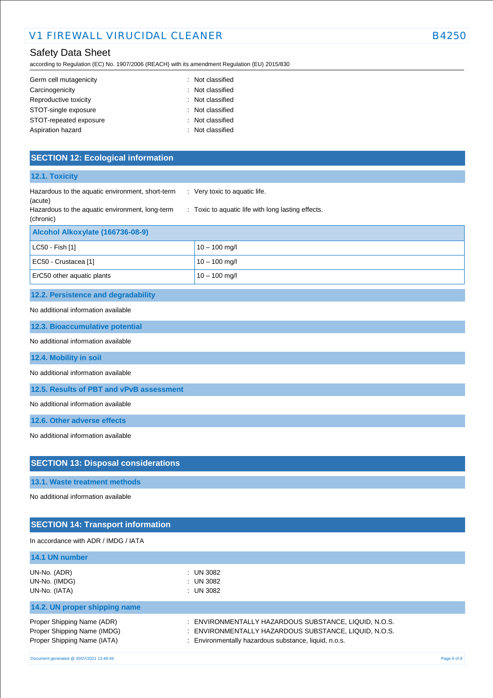## Safety Data Sheet

according to Regulation (EC) No. 1907/2006 (REACH) with its amendment Regulation (EU) 2015/830

| Germ cell mutagenicity | : Not classified |
|------------------------|------------------|
| Carcinogenicity        | : Not classified |
| Reproductive toxicity  | : Not classified |
| STOT-single exposure   | : Not classified |
| STOT-repeated exposure | : Not classified |
| Aspiration hazard      | : Not classified |

## **SECTION 12: Ecological information**

| 12.1. Toxicity                                                                                                 |                                                                                     |
|----------------------------------------------------------------------------------------------------------------|-------------------------------------------------------------------------------------|
| Hazardous to the aquatic environment, short-term<br>(acute)<br>Hazardous to the aquatic environment, long-term | : Very toxic to aquatic life.<br>: Toxic to aquatic life with long lasting effects. |
| (chronic)                                                                                                      |                                                                                     |
| Alcohol Alkoxylate (166736-08-9)                                                                               |                                                                                     |
| LC50 - Fish [1]                                                                                                | $10 - 100$ mg/l                                                                     |
| EC50 - Crustacea [1]                                                                                           | $10 - 100$ mg/l                                                                     |
| ErC50 other aquatic plants                                                                                     | $10 - 100$ mg/l                                                                     |
| 12.2. Persistence and degradability                                                                            |                                                                                     |
| No additional information available                                                                            |                                                                                     |
| 12.3. Bioaccumulative potential                                                                                |                                                                                     |
| No additional information available                                                                            |                                                                                     |
| 12.4. Mobility in soil                                                                                         |                                                                                     |
| No additional information available                                                                            |                                                                                     |

**12.5. Results of PBT and vPvB assessment**

No additional information available

**12.6. Other adverse effects**

No additional information available

## **SECTION 13: Disposal considerations**

## **13.1. Waste treatment methods**

No additional information available

# **SECTION 14: Transport information**

## In accordance with ADR / IMDG / IATA

| 14.1 UN number                |                                                       |
|-------------------------------|-------------------------------------------------------|
| UN-No. (ADR)                  | : UN 3082                                             |
| UN-No. (IMDG)                 | : UN 3082                                             |
| UN-No. (IATA)                 | : UN 3082                                             |
| 14.2. UN proper shipping name |                                                       |
| Proper Shipping Name (ADR)    | : ENVIRONMENTALLY HAZARDOUS SUBSTANCE, LIQUID, N.O.S. |
| Proper Shipping Name (IMDG)   | : ENVIRONMENTALLY HAZARDOUS SUBSTANCE, LIQUID, N.O.S. |
| Proper Shipping Name (IATA)   | : Environmentally hazardous substance, liquid, n.o.s. |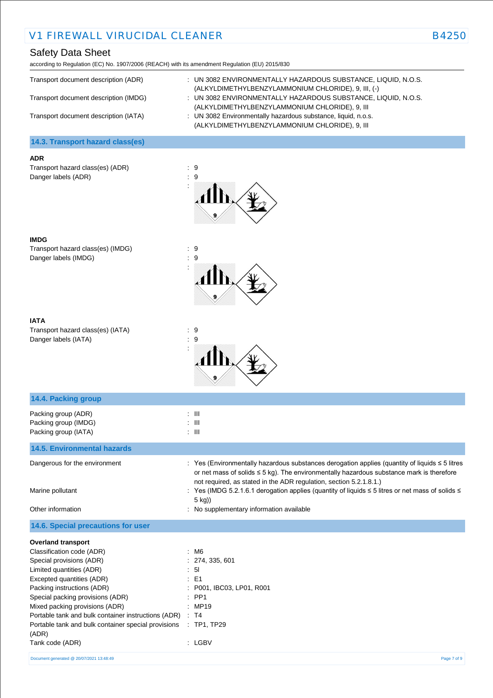## Safety Data Sheet

according to Regulation (EC) No. 1907/2006 (REACH) with its amendment Regulation (EU) 2015/830

| Transport document description (ADR)<br>Transport document description (IMDG)<br>Transport document description (IATA) | : UN 3082 ENVIRONMENTALLY HAZARDOUS SUBSTANCE, LIQUID, N.O.S.<br>(ALKYLDIMETHYLBENZYLAMMONIUM CHLORIDE), 9, III, (-)<br>: UN 3082 ENVIRONMENTALLY HAZARDOUS SUBSTANCE, LIQUID, N.O.S.<br>(ALKYLDIMETHYLBENZYLAMMONIUM CHLORIDE), 9, III<br>: UN 3082 Environmentally hazardous substance, liquid, n.o.s.<br>(ALKYLDIMETHYLBENZYLAMMONIUM CHLORIDE), 9, III |
|------------------------------------------------------------------------------------------------------------------------|------------------------------------------------------------------------------------------------------------------------------------------------------------------------------------------------------------------------------------------------------------------------------------------------------------------------------------------------------------|
| 14.3. Transport hazard class(es)                                                                                       |                                                                                                                                                                                                                                                                                                                                                            |

#### **ADR**

Transport hazard class(es) (ADR) : 9 Danger labels (ADR) : 9



### **IMDG**

Transport hazard class(es) (IMDG) : 9 Danger labels (IMDG)  $\qquad \qquad$  : 9



| IATA      |
|-----------|
| Transport |

 $\text{tr} \text{hazard class}(\text{es}) \text{ (IATA)}$  : 9 Danger labels (IATA) : 9



| 14.4. Packing group                                                      |                                                                                                                                                                                                                                                                            |
|--------------------------------------------------------------------------|----------------------------------------------------------------------------------------------------------------------------------------------------------------------------------------------------------------------------------------------------------------------------|
| Packing group (ADR)<br>Packing group (IMDG)<br>Packing group (IATA)      | $\therefore$ $\blacksquare$<br>$\therefore$ III<br>$\therefore$ $\blacksquare$                                                                                                                                                                                             |
| <b>14.5. Environmental hazards</b>                                       |                                                                                                                                                                                                                                                                            |
| Dangerous for the environment                                            | : Yes (Environmentally hazardous substances derogation applies (quantity of liquids $\leq 5$ litres<br>or net mass of solids $\leq$ 5 kg). The environmentally hazardous substance mark is therefore<br>not required, as stated in the ADR regulation, section 5.2.1.8.1.) |
| Marine pollutant                                                         | : Yes (IMDG 5.2.1.6.1 derogation applies (quantity of liquids ≤ 5 litres or net mass of solids ≤<br>$5$ kg))                                                                                                                                                               |
| Other information                                                        | : No supplementary information available                                                                                                                                                                                                                                   |
| 14.6. Special precautions for user                                       |                                                                                                                                                                                                                                                                            |
| <b>Overland transport</b>                                                |                                                                                                                                                                                                                                                                            |
| Classification code (ADR)                                                | : M6                                                                                                                                                                                                                                                                       |
| Special provisions (ADR)                                                 | : 274, 335, 601                                                                                                                                                                                                                                                            |
| Limited quantities (ADR)                                                 | : 51                                                                                                                                                                                                                                                                       |
| Excepted quantities (ADR)                                                | $\therefore$ E1                                                                                                                                                                                                                                                            |
| Packing instructions (ADR)                                               | : P001, IBC03, LP01, R001                                                                                                                                                                                                                                                  |
| Special packing provisions (ADR)                                         | $:$ PP1                                                                                                                                                                                                                                                                    |
| Mixed packing provisions (ADR)                                           | : MP19                                                                                                                                                                                                                                                                     |
| Portable tank and bulk container instructions (ADR)                      | $\therefore$ T4                                                                                                                                                                                                                                                            |
| Portable tank and bulk container special provisions : TP1, TP29<br>(ADR) |                                                                                                                                                                                                                                                                            |
| Tank code (ADR)                                                          | : LGBV                                                                                                                                                                                                                                                                     |
| Document generated @ 20/07/2021 13:48:49                                 | Page 7 of 9                                                                                                                                                                                                                                                                |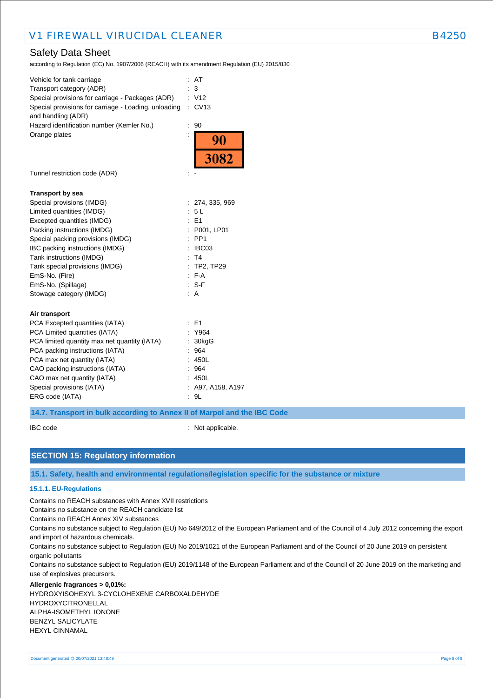## Safety Data Sheet

according to Regulation (EC) No. 1907/2006 (REACH) with its amendment Regulation (EU) 2015/830

| Vehicle for tank carriage                            |                | AT                |
|------------------------------------------------------|----------------|-------------------|
| Transport category (ADR)                             |                | 3                 |
| Special provisions for carriage - Packages (ADR)     |                | : V12             |
| Special provisions for carriage - Loading, unloading |                | : CV13            |
| and handling (ADR)                                   |                |                   |
| Hazard identification number (Kemler No.)            | $\ddot{\cdot}$ | 90                |
| Orange plates                                        |                |                   |
|                                                      |                | $\frac{90}{3082}$ |
|                                                      |                |                   |
|                                                      |                |                   |
| Tunnel restriction code (ADR)                        |                |                   |
|                                                      |                |                   |
| <b>Transport by sea</b>                              |                |                   |
| Special provisions (IMDG)                            |                | : 274, 335, 969   |
| Limited quantities (IMDG)                            |                | : 5L              |
| Excepted quantities (IMDG)                           |                | $E = 51$          |
| Packing instructions (IMDG)                          |                | : P001, LP01      |
| Special packing provisions (IMDG)                    |                | $:$ PP1           |
| IBC packing instructions (IMDG)                      |                | : IBCO3           |
| Tank instructions (IMDG)                             |                | : T4              |
| Tank special provisions (IMDG)                       |                | : TP2, TP29       |
| EmS-No. (Fire)                                       |                | F A               |
| EmS-No. (Spillage)                                   |                | $: S-F$           |
| Stowage category (IMDG)                              |                | A                 |
|                                                      |                |                   |
| Air transport                                        |                |                   |
| PCA Excepted quantities (IATA)                       |                | : E1              |
| PCA Limited quantities (IATA)                        |                | : Y964            |
| PCA limited quantity max net quantity (IATA)         |                | 30kgG             |
| PCA packing instructions (IATA)                      |                | : 964             |
| PCA max net quantity (IATA)                          |                | : 450L            |
| CAO packing instructions (IATA)                      |                | : 964             |
| CAO max net quantity (IATA)                          |                | : 450L            |
| Special provisions (IATA)                            |                | : A97, A158, A197 |
| ERG code (IATA)                                      |                | : 9L              |
|                                                      |                |                   |

### **14.7. Transport in bulk according to Annex II of Marpol and the IBC Code**

IBC code : Not applicable.

## **SECTION 15: Regulatory information**

**15.1. Safety, health and environmental regulations/legislation specific for the substance or mixture**

### **15.1.1. EU-Regulations**

Contains no REACH substances with Annex XVII restrictions

Contains no substance on the REACH candidate list

Contains no REACH Annex XIV substances

Contains no substance subject to Regulation (EU) No 649/2012 of the European Parliament and of the Council of 4 July 2012 concerning the export and import of hazardous chemicals.

Contains no substance subject to Regulation (EU) No 2019/1021 of the European Parliament and of the Council of 20 June 2019 on persistent organic pollutants

Contains no substance subject to Regulation (EU) 2019/1148 of the European Parliament and of the Council of 20 June 2019 on the marketing and use of explosives precursors.

#### **Allergenic fragrances > 0,01%:**

HYDROXYISOHEXYL 3-CYCLOHEXENE CARBOXALDEHYDE HYDROXYCITRONELLAL ALPHA-ISOMETHYL IONONE BENZYL SALICYLATE HEXYL CINNAMAL